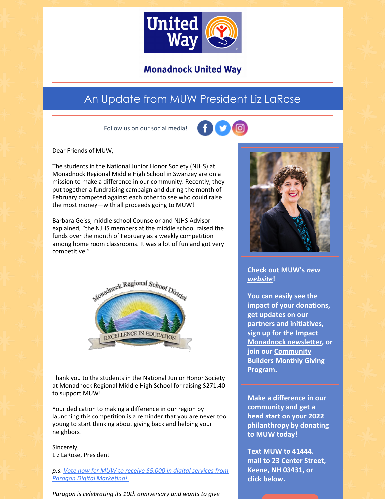

### **Monadnock United Way**

## An Update from MUW President Liz LaRose

Follow us on our social media!



Dear Friends of MUW,

The students in the National Junior Honor Society (NJHS) at Monadnock Regional Middle High School in Swanzey are on a mission to make a difference in our community. Recently, they put together a fundraising campaign and during the month of February competed against each other to see who could raise the most money—with all proceeds going to MUW!

Barbara Geiss, middle school Counselor and NJHS Advisor explained, "the NJHS members at the middle school raised the funds over the month of February as a weekly competition among home room classrooms. It was a lot of fun and got very competitive."



Thank you to the students in the National Junior Honor Society at Monadnock Regional Middle High School for raising \$271.40 to support MUW!

Your dedication to making a difference in our region by launching this competition is a reminder that you are never too young to start thinking about giving back and helping your neighbors!

Sincerely, Liz LaRose, President

*p.s. Vote now for MUW to receive \$5,000 in digital services from Paragon Digital [Marketing!](https://paragondigital.com/10years/)*

*Paragon is celebrating its 10th anniversary and wants to give*



**Check out [MUW's](http://www.muw.org)** *new website***!**

**You can easily see the impact of your donations, get updates on our partners and initiatives, sign up for the Impact [Monadnock](https://www.muw.org/im) newsletter, or join our [Community](https://www.muw.org/monthly-giving) Builders Monthly Giving Program.**

**Make a difference in our community and get a head start on your 2022 philanthropy by donating to MUW today!**

**Text MUW to 41444. mail to 23 Center Street, Keene, NH 03431, or click below.**